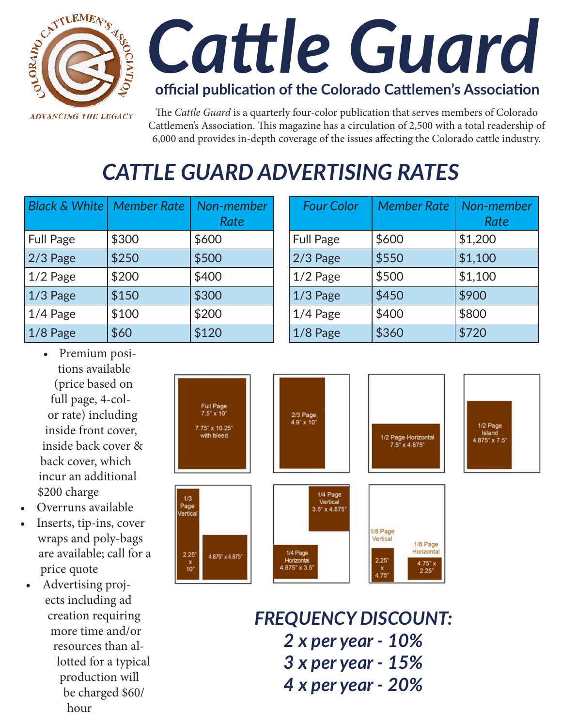

# *Cattle Guard*

#### **official publication of the Colorado Cattlemen's Association**

The *Cattle Guard* is a quarterly four-color publication that serves members of Colorado Cattlemen's Association. This magazine has a circulation of 2,500 with a total readership of 6,000 and provides in-depth coverage of the issues affecting the Colorado cattle industry.

## *CATTLE GUARD ADVERTISING RATES*

| <b>Black &amp; White</b> | <b>Member Rate</b> | Non-member<br>Rate |
|--------------------------|--------------------|--------------------|
| <b>Full Page</b>         | \$300              | \$600              |
| $2/3$ Page               | \$250              | \$500              |
| $1/2$ Page               | \$200              | \$400              |
| $1/3$ Page               | \$150              | \$300              |
| $1/4$ Page               | \$100              | \$200              |
| $1/8$ Page               | \$60               | \$120              |

| <b>Four Color</b> | <b>Member Rate</b> | Non-member<br>Rate |
|-------------------|--------------------|--------------------|
| <b>Full Page</b>  | \$600              | \$1,200            |
| $2/3$ Page        | \$550              | \$1,100            |
| $1/2$ Page        | \$500              | \$1,100            |
| $1/3$ Page        | \$450              | \$900              |
| $1/4$ Page        | \$400              | \$800              |
| $1/8$ Page        | \$360              | \$720              |

- Premium positions available (price based on full page, 4-color rate) including inside front cover, inside back cover & back cover, which incur an additional \$200 charge
- Overruns available
- Inserts, tip-ins, cover wraps and poly-bags are available; call for a price quote
- • Advertising projects including ad creation requiring more time and/or resources than allotted for a typical production will be charged \$60/ hour



*FREQUENCY DISCOUNT: 2 x per year - 10% 3 x per year - 15% 4 x per year - 20%*